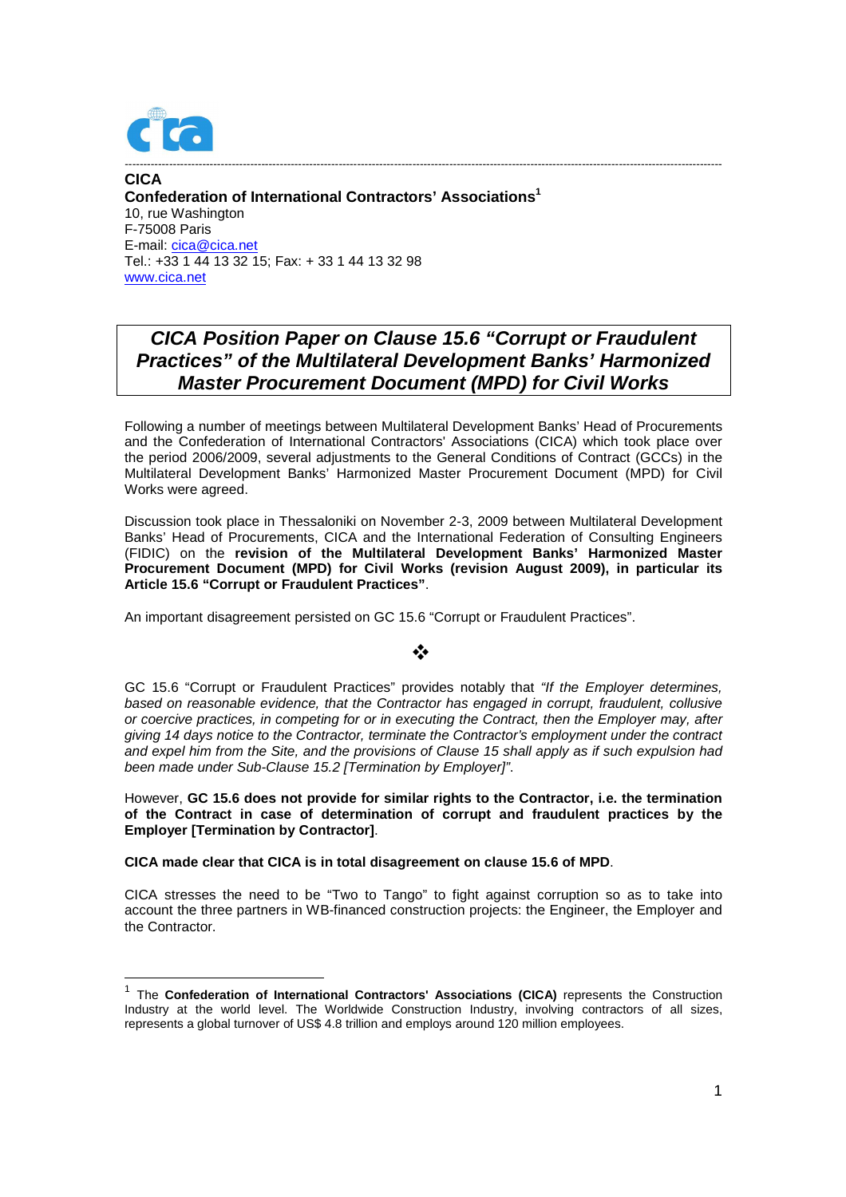

1

**CICA Confederation of International Contractors' Associations<sup>1</sup>** 10, rue Washington F-75008 Paris E-mail: cica@cica.net Tel.: +33 1 44 13 32 15; Fax: + 33 1 44 13 32 98 www.cica.net

# **CICA Position Paper on Clause 15.6 "Corrupt or Fraudulent Practices" of the Multilateral Development Banks' Harmonized Master Procurement Document (MPD) for Civil Works**

------------------------------------------------------------------------------------------------------------------------------------------------------------------

Following a number of meetings between Multilateral Development Banks' Head of Procurements and the Confederation of International Contractors' Associations (CICA) which took place over the period 2006/2009, several adjustments to the General Conditions of Contract (GCCs) in the Multilateral Development Banks' Harmonized Master Procurement Document (MPD) for Civil Works were agreed.

Discussion took place in Thessaloniki on November 2-3, 2009 between Multilateral Development Banks' Head of Procurements, CICA and the International Federation of Consulting Engineers (FIDIC) on the **revision of the Multilateral Development Banks' Harmonized Master Procurement Document (MPD) for Civil Works (revision August 2009), in particular its Article 15.6 "Corrupt or Fraudulent Practices"**.

An important disagreement persisted on GC 15.6 "Corrupt or Fraudulent Practices".

### ❖

GC 15.6 "Corrupt or Fraudulent Practices" provides notably that "If the Employer determines, based on reasonable evidence, that the Contractor has engaged in corrupt, fraudulent, collusive or coercive practices, in competing for or in executing the Contract, then the Employer may, after giving 14 days notice to the Contractor, terminate the Contractor's employment under the contract and expel him from the Site, and the provisions of Clause 15 shall apply as if such expulsion had been made under Sub-Clause 15.2 [Termination by Employer]".

However, **GC 15.6 does not provide for similar rights to the Contractor, i.e. the termination of the Contract in case of determination of corrupt and fraudulent practices by the Employer [Termination by Contractor]**.

**CICA made clear that CICA is in total disagreement on clause 15.6 of MPD**.

CICA stresses the need to be "Two to Tango" to fight against corruption so as to take into account the three partners in WB-financed construction projects: the Engineer, the Employer and the Contractor.

<sup>&</sup>lt;sup>1</sup> The **Confederation of International Contractors' Associations (CICA)** represents the Construction Industry at the world level. The Worldwide Construction Industry, involving contractors of all sizes, represents a global turnover of US\$ 4.8 trillion and employs around 120 million employees.